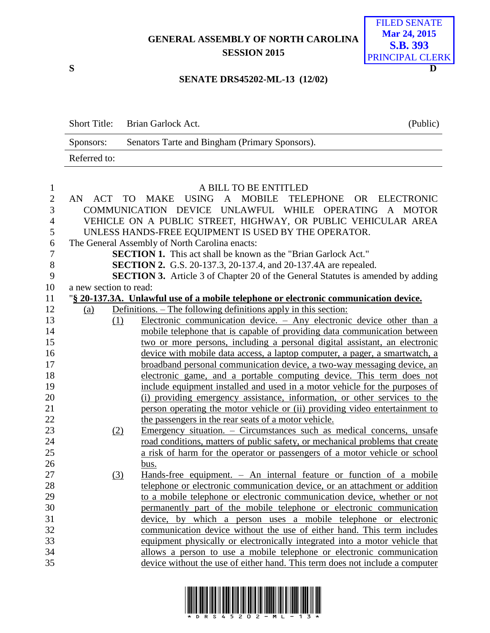## **GENERAL ASSEMBLY OF NORTH CAROLINA SESSION 2015**



## **SENATE DRS45202-ML-13 (12/02)**

Short Title: Brian Garlock Act. (Public) Sponsors: Senators Tarte and Bingham (Primary Sponsors). Referred to:

| $\mathbf{1}$   | A BILL TO BE ENTITLED                                         |     |                                                                                        |  |  |  |
|----------------|---------------------------------------------------------------|-----|----------------------------------------------------------------------------------------|--|--|--|
| $\mathbf{2}$   |                                                               |     | AN ACT TO MAKE USING A MOBILE TELEPHONE OR ELECTRONIC                                  |  |  |  |
| 3              |                                                               |     | COMMUNICATION DEVICE UNLAWFUL WHILE OPERATING A MOTOR                                  |  |  |  |
| $\overline{4}$ | VEHICLE ON A PUBLIC STREET, HIGHWAY, OR PUBLIC VEHICULAR AREA |     |                                                                                        |  |  |  |
| 5              |                                                               |     | UNLESS HANDS-FREE EQUIPMENT IS USED BY THE OPERATOR.                                   |  |  |  |
| 6              | The General Assembly of North Carolina enacts:                |     |                                                                                        |  |  |  |
| $\tau$         |                                                               |     | <b>SECTION 1.</b> This act shall be known as the "Brian Garlock Act."                  |  |  |  |
| 8              |                                                               |     | <b>SECTION 2.</b> G.S. 20-137.3, 20-137.4, and 20-137.4A are repealed.                 |  |  |  |
| 9              |                                                               |     | <b>SECTION 3.</b> Article 3 of Chapter 20 of the General Statutes is amended by adding |  |  |  |
| 10             | a new section to read:                                        |     |                                                                                        |  |  |  |
| 11             |                                                               |     | "§ 20-137.3A. Unlawful use of a mobile telephone or electronic communication device.   |  |  |  |
| 12             | (a)                                                           |     | Definitions. – The following definitions apply in this section:                        |  |  |  |
| 13             |                                                               | (1) | Electronic communication device. $-$ Any electronic device other than a                |  |  |  |
| 14             |                                                               |     | mobile telephone that is capable of providing data communication between               |  |  |  |
| 15             |                                                               |     | two or more persons, including a personal digital assistant, an electronic             |  |  |  |
| 16             |                                                               |     | device with mobile data access, a laptop computer, a pager, a smartwatch, a            |  |  |  |
| 17             |                                                               |     | broadband personal communication device, a two-way messaging device, an                |  |  |  |
| 18             |                                                               |     | electronic game, and a portable computing device. This term does not                   |  |  |  |
| 19             |                                                               |     | include equipment installed and used in a motor vehicle for the purposes of            |  |  |  |
| 20             |                                                               |     | (i) providing emergency assistance, information, or other services to the              |  |  |  |
| 21             |                                                               |     | person operating the motor vehicle or (ii) providing video entertainment to            |  |  |  |
| 22             |                                                               |     | the passengers in the rear seats of a motor vehicle.                                   |  |  |  |
| 23             |                                                               | (2) | Emergency situation. - Circumstances such as medical concerns, unsafe                  |  |  |  |
| 24             |                                                               |     | road conditions, matters of public safety, or mechanical problems that create          |  |  |  |
| 25             |                                                               |     | a risk of harm for the operator or passengers of a motor vehicle or school             |  |  |  |
| 26             |                                                               |     | bus.                                                                                   |  |  |  |
| 27             |                                                               | (3) | Hands-free equipment. - An internal feature or function of a mobile                    |  |  |  |
| 28             |                                                               |     | telephone or electronic communication device, or an attachment or addition             |  |  |  |
| 29             |                                                               |     | to a mobile telephone or electronic communication device, whether or not               |  |  |  |
| 30             |                                                               |     | permanently part of the mobile telephone or electronic communication                   |  |  |  |
| 31             |                                                               |     | device, by which a person uses a mobile telephone or electronic                        |  |  |  |
| 32             |                                                               |     | communication device without the use of either hand. This term includes                |  |  |  |
| 33             |                                                               |     | equipment physically or electronically integrated into a motor vehicle that            |  |  |  |
| 34             |                                                               |     | allows a person to use a mobile telephone or electronic communication                  |  |  |  |
| 35             |                                                               |     | device without the use of either hand. This term does not include a computer           |  |  |  |
|                |                                                               |     |                                                                                        |  |  |  |

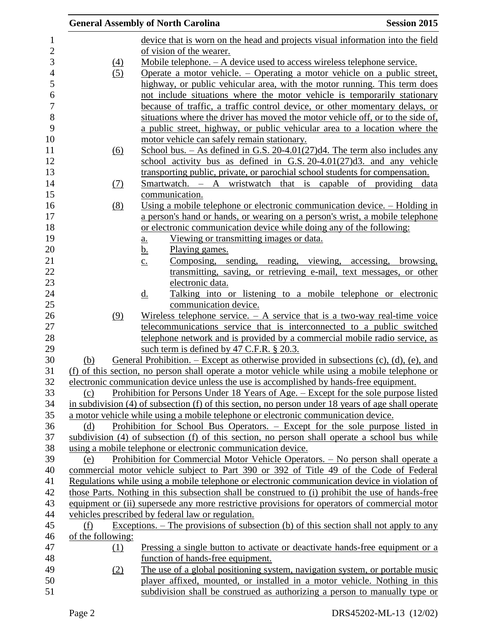|                   | <b>General Assembly of North Carolina</b>                                                                                                                 | <b>Session 2015</b> |
|-------------------|-----------------------------------------------------------------------------------------------------------------------------------------------------------|---------------------|
|                   | device that is worn on the head and projects visual information into the field                                                                            |                     |
|                   | of vision of the wearer.                                                                                                                                  |                     |
| $\Delta$          | Mobile telephone. – A device used to access wireless telephone service.                                                                                   |                     |
| (5)               | Operate a motor vehicle. $-$ Operating a motor vehicle on a public street,                                                                                |                     |
|                   | highway, or public vehicular area, with the motor running. This term does                                                                                 |                     |
|                   | not include situations where the motor vehicle is temporarily stationary                                                                                  |                     |
|                   | because of traffic, a traffic control device, or other momentary delays, or                                                                               |                     |
|                   | situations where the driver has moved the motor vehicle off, or to the side of,                                                                           |                     |
|                   | a public street, highway, or public vehicular area to a location where the                                                                                |                     |
|                   | motor vehicle can safely remain stationary.                                                                                                               |                     |
| (6)               | School bus. $-$ As defined in G.S. 20-4.01(27)d4. The term also includes any                                                                              |                     |
|                   | school activity bus as defined in G.S. $20-4.01(27)$ d3. and any vehicle                                                                                  |                     |
|                   | transporting public, private, or parochial school students for compensation.                                                                              |                     |
|                   | Smartwatch. – A wristwatch that is capable of providing data                                                                                              |                     |
| <u>(7)</u>        | communication.                                                                                                                                            |                     |
|                   | Using a mobile telephone or electronic communication device. – Holding in                                                                                 |                     |
| (8)               |                                                                                                                                                           |                     |
|                   | a person's hand or hands, or wearing on a person's wrist, a mobile telephone<br>or electronic communication device while doing any of the following:      |                     |
|                   | Viewing or transmitting images or data.                                                                                                                   |                     |
|                   | a.<br>Playing games.                                                                                                                                      |                     |
|                   | <u>b.</u><br>Composing, sending, reading, viewing, accessing, browsing,                                                                                   |                     |
|                   | $\underline{c}$ .<br>transmitting, saving, or retrieving e-mail, text messages, or other                                                                  |                     |
|                   | electronic data.                                                                                                                                          |                     |
|                   | $\underline{\mathrm{d}}$ .<br>Talking into or listening to a mobile telephone or electronic                                                               |                     |
|                   | communication device.                                                                                                                                     |                     |
| (9)               | Wireless telephone service. $-$ A service that is a two-way real-time voice                                                                               |                     |
|                   | telecommunications service that is interconnected to a public switched                                                                                    |                     |
|                   | telephone network and is provided by a commercial mobile radio service, as                                                                                |                     |
|                   | such term is defined by 47 C.F.R. $\S$ 20.3.                                                                                                              |                     |
| (b)               | General Prohibition. – Except as otherwise provided in subsections $(c)$ , $(d)$ , $(e)$ , and                                                            |                     |
|                   | (f) of this section, no person shall operate a motor vehicle while using a mobile telephone or                                                            |                     |
|                   | electronic communication device unless the use is accomplished by hands-free equipment.                                                                   |                     |
| (c)               | <u>Prohibition</u> for Persons Under 18 Years of Age. – Except for the sole purpose listed                                                                |                     |
|                   |                                                                                                                                                           |                     |
|                   |                                                                                                                                                           |                     |
|                   | in subdivision (4) of subsection (f) of this section, no person under 18 years of age shall operate                                                       |                     |
|                   | a motor vehicle while using a mobile telephone or electronic communication device.                                                                        |                     |
| (d)               | Prohibition for School Bus Operators. – Except for the sole purpose listed in                                                                             |                     |
|                   | subdivision (4) of subsection (f) of this section, no person shall operate a school bus while                                                             |                     |
|                   | using a mobile telephone or electronic communication device.                                                                                              |                     |
| (e)               | Prohibition for Commercial Motor Vehicle Operators. - No person shall operate a                                                                           |                     |
|                   | commercial motor vehicle subject to Part 390 or 392 of Title 49 of the Code of Federal                                                                    |                     |
|                   | Regulations while using a mobile telephone or electronic communication device in violation of                                                             |                     |
|                   | those Parts. Nothing in this subsection shall be construed to (i) prohibit the use of hands-free                                                          |                     |
|                   | equipment or (ii) supersede any more restrictive provisions for operators of commercial motor                                                             |                     |
|                   | vehicles prescribed by federal law or regulation.                                                                                                         |                     |
| (f)               | Exceptions. $-$ The provisions of subsection (b) of this section shall not apply to any                                                                   |                     |
| of the following: |                                                                                                                                                           |                     |
| (1)               | <u>Pressing a single button to activate or deactivate hands-free equipment or a</u>                                                                       |                     |
|                   | function of hands-free equipment.                                                                                                                         |                     |
| (2)               | The use of a global positioning system, navigation system, or portable music<br>player affixed, mounted, or installed in a motor vehicle. Nothing in this |                     |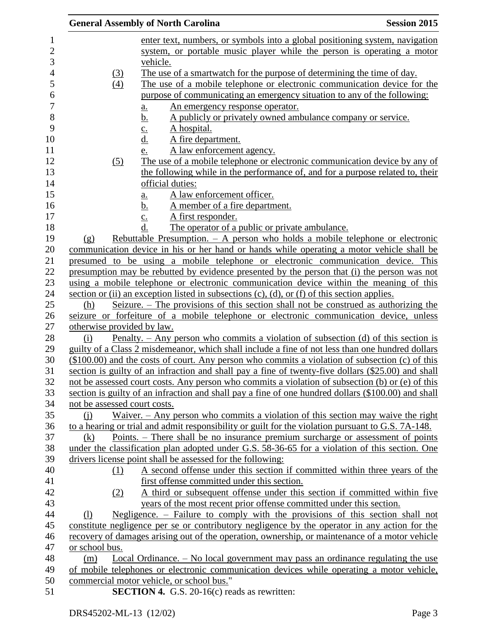|                              | <b>General Assembly of North Carolina</b>                                                            | <b>Session 2015</b> |
|------------------------------|------------------------------------------------------------------------------------------------------|---------------------|
|                              | enter text, numbers, or symbols into a global positioning system, navigation                         |                     |
|                              | system, or portable music player while the person is operating a motor                               |                     |
|                              | vehicle.                                                                                             |                     |
| <u>(3)</u>                   | The use of a smartwatch for the purpose of determining the time of day.                              |                     |
| (4)                          | The use of a mobile telephone or electronic communication device for the                             |                     |
|                              | purpose of communicating an emergency situation to any of the following:                             |                     |
|                              | An emergency response operator.<br>a.                                                                |                     |
|                              | A publicly or privately owned ambulance company or service.<br><u>b.</u>                             |                     |
|                              | A hospital.<br>$\underline{\mathbf{c}}$ .                                                            |                     |
|                              | <u>d.</u><br>A fire department.                                                                      |                     |
|                              | A law enforcement agency.<br>e.                                                                      |                     |
| (5)                          | The use of a mobile telephone or electronic communication device by any of                           |                     |
|                              | the following while in the performance of, and for a purpose related to, their                       |                     |
|                              | official duties:                                                                                     |                     |
|                              | A law enforcement officer.<br>a.                                                                     |                     |
|                              | <u>b.</u><br>A member of a fire department.                                                          |                     |
|                              | A first responder.<br>$\underline{c}$ .                                                              |                     |
|                              | d.<br>The operator of a public or private ambulance.                                                 |                     |
| (g)                          | Rebuttable Presumption. $-$ A person who holds a mobile telephone or electronic                      |                     |
|                              | communication device in his or her hand or hands while operating a motor vehicle shall be            |                     |
|                              | presumed to be using a mobile telephone or electronic communication device. This                     |                     |
|                              | presumption may be rebutted by evidence presented by the person that (i) the person was not          |                     |
|                              | using a mobile telephone or electronic communication device within the meaning of this               |                     |
|                              | section or (ii) an exception listed in subsections $(c)$ , $(d)$ , or $(f)$ of this section applies. |                     |
| (h)                          | Seizure. – The provisions of this section shall not be construed as authorizing the                  |                     |
|                              | seizure or forfeiture of a mobile telephone or electronic communication device, unless               |                     |
| otherwise provided by law.   |                                                                                                      |                     |
| (i)                          | Penalty. – Any person who commits a violation of subsection (d) of this section is                   |                     |
|                              | guilty of a Class 2 misdemeanor, which shall include a fine of not less than one hundred dollars     |                     |
|                              | $($100.00)$ and the costs of court. Any person who commits a violation of subsection (c) of this     |                     |
|                              | section is guilty of an infraction and shall pay a fine of twenty-five dollars (\$25.00) and shall   |                     |
|                              | not be assessed court costs. Any person who commits a violation of subsection (b) or (e) of this     |                     |
|                              | section is guilty of an infraction and shall pay a fine of one hundred dollars (\$100.00) and shall  |                     |
| not be assessed court costs. |                                                                                                      |                     |
| $\Omega$                     | Waiver. - Any person who commits a violation of this section may waive the right                     |                     |
|                              | to a hearing or trial and admit responsibility or guilt for the violation pursuant to G.S. 7A-148.   |                     |
| (k)                          | Points. – There shall be no insurance premium surcharge or assessment of points                      |                     |
|                              | under the classification plan adopted under G.S. 58-36-65 for a violation of this section. One       |                     |
|                              | drivers license point shall be assessed for the following:                                           |                     |
| (1)                          | A second offense under this section if committed within three years of the                           |                     |
|                              | first offense committed under this section.                                                          |                     |
| (2)                          | A third or subsequent offense under this section if committed within five                            |                     |
|                              | years of the most recent prior offense committed under this section.                                 |                     |
| (1)                          | Negligence. – Failure to comply with the provisions of this section shall not                        |                     |
|                              | constitute negligence per se or contributory negligence by the operator in any action for the        |                     |
|                              | recovery of damages arising out of the operation, ownership, or maintenance of a motor vehicle       |                     |
| or school bus.               |                                                                                                      |                     |
| (m)                          | Local Ordinance. - No local government may pass an ordinance regulating the use                      |                     |
|                              | of mobile telephones or electronic communication devices while operating a motor vehicle,            |                     |
|                              | commercial motor vehicle, or school bus."                                                            |                     |
|                              | <b>SECTION 4.</b> G.S. 20-16(c) reads as rewritten:                                                  |                     |
|                              |                                                                                                      |                     |